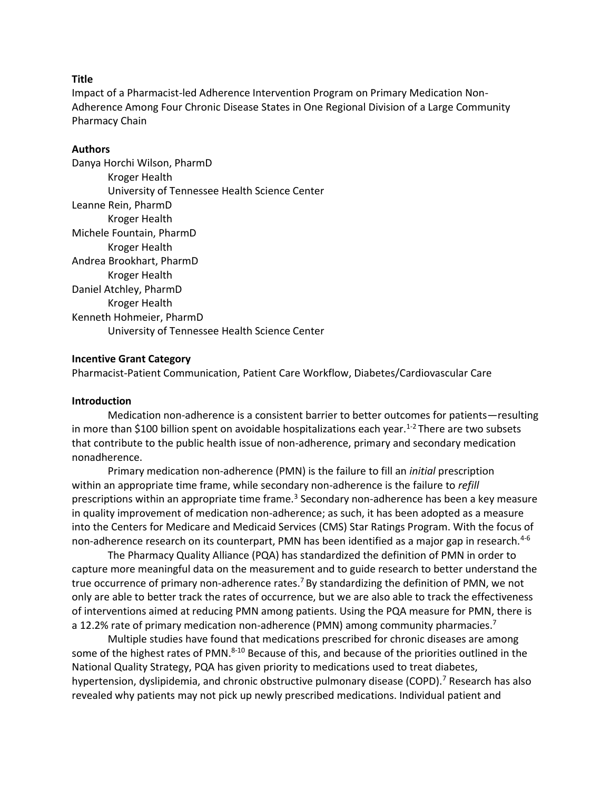### **Title**

Impact of a Pharmacist-led Adherence Intervention Program on Primary Medication Non-Adherence Among Four Chronic Disease States in One Regional Division of a Large Community Pharmacy Chain

### **Authors**

Danya Horchi Wilson, PharmD Kroger Health University of Tennessee Health Science Center Leanne Rein, PharmD Kroger Health Michele Fountain, PharmD Kroger Health Andrea Brookhart, PharmD Kroger Health Daniel Atchley, PharmD Kroger Health Kenneth Hohmeier, PharmD University of Tennessee Health Science Center

### **Incentive Grant Category**

Pharmacist-Patient Communication, Patient Care Workflow, Diabetes/Cardiovascular Care

### **Introduction**

Medication non-adherence is a consistent barrier to better outcomes for patients—resulting in more than \$100 billion spent on avoidable hospitalizations each year.<sup>1-2</sup> There are two subsets that contribute to the public health issue of non-adherence, primary and secondary medication nonadherence.

Primary medication non-adherence (PMN) is the failure to fill an *initial* prescription within an appropriate time frame, while secondary non-adherence is the failure to *refill* prescriptions within an appropriate time frame.<sup>3</sup> Secondary non-adherence has been a key measure in quality improvement of medication non-adherence; as such, it has been adopted as a measure into the Centers for Medicare and Medicaid Services (CMS) Star Ratings Program. With the focus of non-adherence research on its counterpart, PMN has been identified as a major gap in research.<sup>4-6</sup>

The Pharmacy Quality Alliance (PQA) has standardized the definition of PMN in order to capture more meaningful data on the measurement and to guide research to better understand the true occurrence of primary non-adherence rates.<sup>7</sup> By standardizing the definition of PMN, we not only are able to better track the rates of occurrence, but we are also able to track the effectiveness of interventions aimed at reducing PMN among patients. Using the PQA measure for PMN, there is a 12.2% rate of primary medication non-adherence (PMN) among community pharmacies.<sup>7</sup>

Multiple studies have found that medications prescribed for chronic diseases are among some of the highest rates of PMN.<sup>8-10</sup> Because of this, and because of the priorities outlined in the National Quality Strategy, PQA has given priority to medications used to treat diabetes, hypertension, dyslipidemia, and chronic obstructive pulmonary disease (COPD).<sup>7</sup> Research has also revealed why patients may not pick up newly prescribed medications. Individual patient and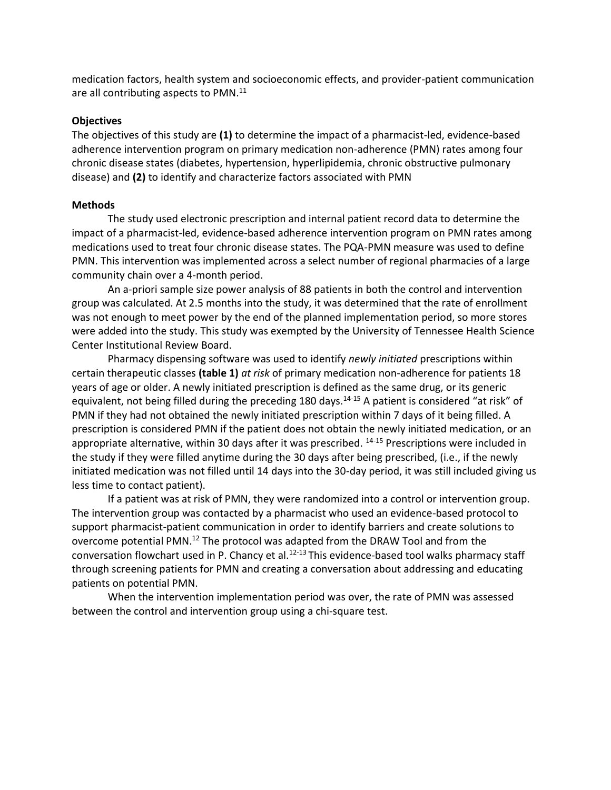medication factors, health system and socioeconomic effects, and provider-patient communication are all contributing aspects to PMN.<sup>11</sup>

### **Objectives**

The objectives of this study are **(1)** to determine the impact of a pharmacist-led, evidence-based adherence intervention program on primary medication non-adherence (PMN) rates among four chronic disease states (diabetes, hypertension, hyperlipidemia, chronic obstructive pulmonary disease) and **(2)** to identify and characterize factors associated with PMN

### **Methods**

The study used electronic prescription and internal patient record data to determine the impact of a pharmacist-led, evidence-based adherence intervention program on PMN rates among medications used to treat four chronic disease states. The PQA-PMN measure was used to define PMN. This intervention was implemented across a select number of regional pharmacies of a large community chain over a 4-month period.

An a-priori sample size power analysis of 88 patients in both the control and intervention group was calculated. At 2.5 months into the study, it was determined that the rate of enrollment was not enough to meet power by the end of the planned implementation period, so more stores were added into the study. This study was exempted by the University of Tennessee Health Science Center Institutional Review Board.

Pharmacy dispensing software was used to identify *newly initiated* prescriptions within certain therapeutic classes **(table 1)** *at risk* of primary medication non-adherence for patients 18 years of age or older. A newly initiated prescription is defined as the same drug, or its generic equivalent, not being filled during the preceding 180 days.<sup>14-15</sup> A patient is considered "at risk" of PMN if they had not obtained the newly initiated prescription within 7 days of it being filled. A prescription is considered PMN if the patient does not obtain the newly initiated medication, or an appropriate alternative, within 30 days after it was prescribed. <sup>14-15</sup> Prescriptions were included in the study if they were filled anytime during the 30 days after being prescribed, (i.e., if the newly initiated medication was not filled until 14 days into the 30-day period, it was still included giving us less time to contact patient).

If a patient was at risk of PMN, they were randomized into a control or intervention group. The intervention group was contacted by a pharmacist who used an evidence-based protocol to support pharmacist-patient communication in order to identify barriers and create solutions to overcome potential PMN.<sup>12</sup> The protocol was adapted from the DRAW Tool and from the conversation flowchart used in P. Chancy et al.<sup>12-13</sup> This evidence-based tool walks pharmacy staff through screening patients for PMN and creating a conversation about addressing and educating patients on potential PMN.

When the intervention implementation period was over, the rate of PMN was assessed between the control and intervention group using a chi-square test.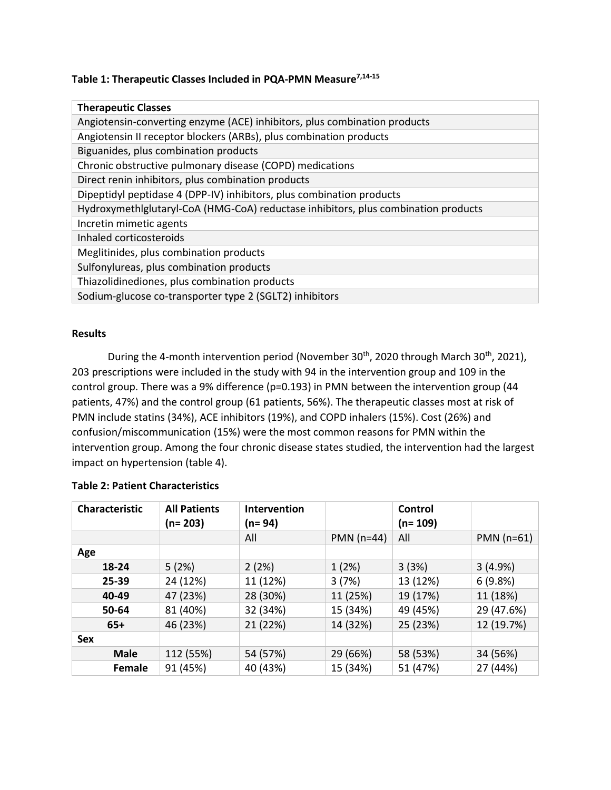# **Table 1: Therapeutic Classes Included in PQA-PMN Measure7,14-15**

| <b>Therapeutic Classes</b>                                                         |
|------------------------------------------------------------------------------------|
| Angiotensin-converting enzyme (ACE) inhibitors, plus combination products          |
| Angiotensin II receptor blockers (ARBs), plus combination products                 |
| Biguanides, plus combination products                                              |
| Chronic obstructive pulmonary disease (COPD) medications                           |
| Direct renin inhibitors, plus combination products                                 |
| Dipeptidyl peptidase 4 (DPP-IV) inhibitors, plus combination products              |
| Hydroxymethlglutaryl-CoA (HMG-CoA) reductase inhibitors, plus combination products |
| Incretin mimetic agents                                                            |
| Inhaled corticosteroids                                                            |
| Meglitinides, plus combination products                                            |
| Sulfonylureas, plus combination products                                           |
| Thiazolidinediones, plus combination products                                      |
| Sodium-glucose co-transporter type 2 (SGLT2) inhibitors                            |

### **Results**

During the 4-month intervention period (November 30<sup>th</sup>, 2020 through March 30<sup>th</sup>, 2021), 203 prescriptions were included in the study with 94 in the intervention group and 109 in the control group. There was a 9% difference (p=0.193) in PMN between the intervention group (44 patients, 47%) and the control group (61 patients, 56%). The therapeutic classes most at risk of PMN include statins (34%), ACE inhibitors (19%), and COPD inhalers (15%). Cost (26%) and confusion/miscommunication (15%) were the most common reasons for PMN within the intervention group. Among the four chronic disease states studied, the intervention had the largest impact on hypertension (table 4).

| <b>Characteristic</b> | <b>All Patients</b><br>$(n=203)$ | Intervention<br>(n= 94) |              | Control<br>(n= 109) |              |
|-----------------------|----------------------------------|-------------------------|--------------|---------------------|--------------|
|                       |                                  | All                     | $PMN$ (n=44) | All                 | $PMN$ (n=61) |
| Age                   |                                  |                         |              |                     |              |
| 18-24                 | 5(2%)                            | 2(2%)                   | 1(2%)        | 3(3%)               | 3(4.9%)      |
| 25-39                 | 24 (12%)                         | 11 (12%)                | 3(7%)        | 13 (12%)            | 6(9.8%)      |
| 40-49                 | 47 (23%)                         | 28 (30%)                | 11 (25%)     | 19 (17%)            | 11 (18%)     |
| 50-64                 | 81 (40%)                         | 32 (34%)                | 15 (34%)     | 49 (45%)            | 29 (47.6%)   |
| $65+$                 | 46 (23%)                         | 21 (22%)                | 14 (32%)     | 25 (23%)            | 12 (19.7%)   |
| Sex                   |                                  |                         |              |                     |              |
| <b>Male</b>           | 112 (55%)                        | 54 (57%)                | 29 (66%)     | 58 (53%)            | 34 (56%)     |
| Female                | 91 (45%)                         | 40 (43%)                | 15 (34%)     | 51 (47%)            | 27 (44%)     |

### **Table 2: Patient Characteristics**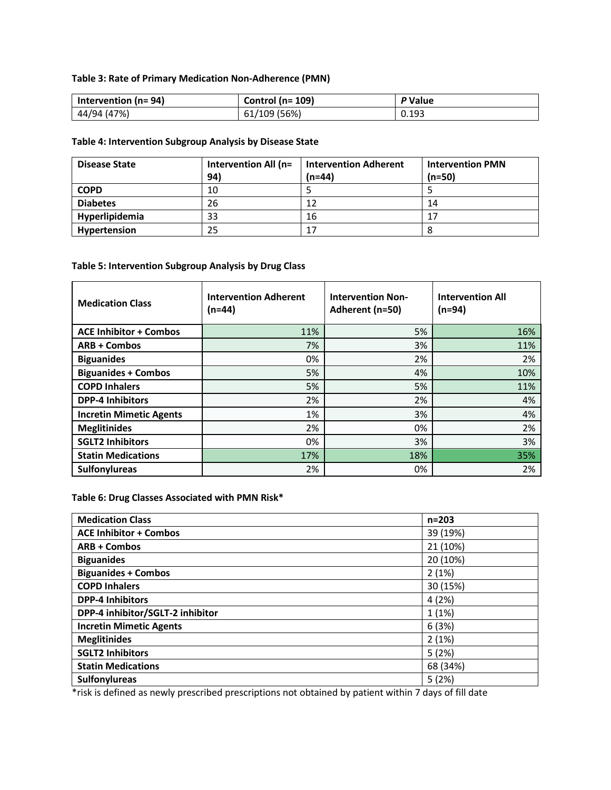# **Table 3: Rate of Primary Medication Non-Adherence (PMN)**

| Intervention ( $n = 94$ ) | Control ( $n = 109$ ) | P Value |
|---------------------------|-----------------------|---------|
| 44/94 (47%)               | 61/109 (56%)          | 0.193   |

### **Table 4: Intervention Subgroup Analysis by Disease State**

| <b>Disease State</b> | Intervention All (n=<br>94) | <b>Intervention Adherent</b><br>$(n=44)$ | <b>Intervention PMN</b><br>$(n=50)$ |
|----------------------|-----------------------------|------------------------------------------|-------------------------------------|
| <b>COPD</b>          | 10                          |                                          |                                     |
| <b>Diabetes</b>      | 26                          | 12                                       | 14                                  |
| Hyperlipidemia       | 33                          | 16                                       | 17                                  |
| Hypertension         | 25                          | 17                                       |                                     |

# **Table 5: Intervention Subgroup Analysis by Drug Class**

| <b>Medication Class</b>        | <b>Intervention Adherent</b><br>$(n=44)$ | <b>Intervention Non-</b><br>Adherent (n=50) | <b>Intervention All</b><br>(n=94) |
|--------------------------------|------------------------------------------|---------------------------------------------|-----------------------------------|
| <b>ACE Inhibitor + Combos</b>  | 11%                                      | 5%                                          | 16%                               |
| <b>ARB + Combos</b>            | 7%                                       | 3%                                          | 11%                               |
| <b>Biguanides</b>              | 0%                                       | 2%                                          | 2%                                |
| <b>Biguanides + Combos</b>     | 5%                                       | 4%                                          | 10%                               |
| <b>COPD Inhalers</b>           | 5%                                       | 5%                                          | 11%                               |
| <b>DPP-4 Inhibitors</b>        | 2%                                       | 2%                                          | 4%                                |
| <b>Incretin Mimetic Agents</b> | 1%                                       | 3%                                          | 4%                                |
| <b>Meglitinides</b>            | 2%                                       | 0%                                          | 2%                                |
| <b>SGLT2 Inhibitors</b>        | 0%                                       | 3%                                          | 3%                                |
| <b>Statin Medications</b>      | 17%                                      | 18%                                         | 35%                               |
| <b>Sulfonylureas</b>           | 2%                                       | 0%                                          | 2%                                |

### **Table 6: Drug Classes Associated with PMN Risk\***

| <b>Medication Class</b>          | $n = 203$ |
|----------------------------------|-----------|
| <b>ACE Inhibitor + Combos</b>    | 39 (19%)  |
| <b>ARB + Combos</b>              | 21 (10%)  |
| <b>Biguanides</b>                | 20 (10%)  |
| <b>Biguanides + Combos</b>       | 2(1%)     |
| <b>COPD Inhalers</b>             | 30 (15%)  |
| <b>DPP-4 Inhibitors</b>          | 4(2%)     |
| DPP-4 inhibitor/SGLT-2 inhibitor | 1(1%)     |
| <b>Incretin Mimetic Agents</b>   | 6(3%)     |
| <b>Meglitinides</b>              | 2(1%)     |
| <b>SGLT2 Inhibitors</b>          | 5(2%)     |
| <b>Statin Medications</b>        | 68 (34%)  |
| <b>Sulfonylureas</b>             | 5(2%)     |

\*risk is defined as newly prescribed prescriptions not obtained by patient within 7 days of fill date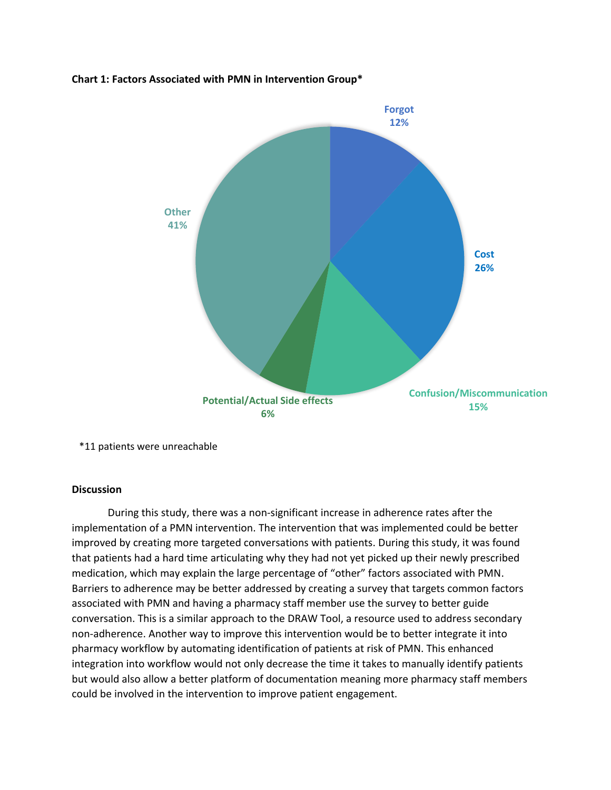### **Chart 1: Factors Associated with PMN in Intervention Group\***



\*11 patients were unreachable

## **Discussion**

During this study, there was a non-significant increase in adherence rates after the implementation of a PMN intervention. The intervention that was implemented could be better improved by creating more targeted conversations with patients. During this study, it was found that patients had a hard time articulating why they had not yet picked up their newly prescribed medication, which may explain the large percentage of "other" factors associated with PMN. Barriers to adherence may be better addressed by creating a survey that targets common factors associated with PMN and having a pharmacy staff member use the survey to better guide conversation. This is a similar approach to the DRAW Tool, a resource used to address secondary non-adherence. Another way to improve this intervention would be to better integrate it into pharmacy workflow by automating identification of patients at risk of PMN. This enhanced integration into workflow would not only decrease the time it takes to manually identify patients but would also allow a better platform of documentation meaning more pharmacy staff members could be involved in the intervention to improve patient engagement.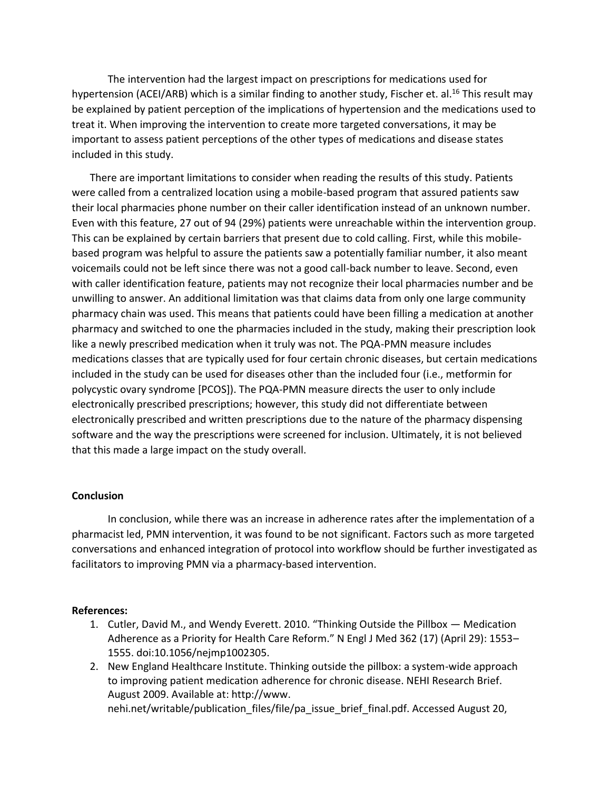The intervention had the largest impact on prescriptions for medications used for hypertension (ACEI/ARB) which is a similar finding to another study, Fischer et. al.<sup>16</sup> This result may be explained by patient perception of the implications of hypertension and the medications used to treat it. When improving the intervention to create more targeted conversations, it may be important to assess patient perceptions of the other types of medications and disease states included in this study.

There are important limitations to consider when reading the results of this study. Patients were called from a centralized location using a mobile-based program that assured patients saw their local pharmacies phone number on their caller identification instead of an unknown number. Even with this feature, 27 out of 94 (29%) patients were unreachable within the intervention group. This can be explained by certain barriers that present due to cold calling. First, while this mobilebased program was helpful to assure the patients saw a potentially familiar number, it also meant voicemails could not be left since there was not a good call-back number to leave. Second, even with caller identification feature, patients may not recognize their local pharmacies number and be unwilling to answer. An additional limitation was that claims data from only one large community pharmacy chain was used. This means that patients could have been filling a medication at another pharmacy and switched to one the pharmacies included in the study, making their prescription look like a newly prescribed medication when it truly was not. The PQA-PMN measure includes medications classes that are typically used for four certain chronic diseases, but certain medications included in the study can be used for diseases other than the included four (i.e., metformin for polycystic ovary syndrome [PCOS]). The PQA-PMN measure directs the user to only include electronically prescribed prescriptions; however, this study did not differentiate between electronically prescribed and written prescriptions due to the nature of the pharmacy dispensing software and the way the prescriptions were screened for inclusion. Ultimately, it is not believed that this made a large impact on the study overall.

#### **Conclusion**

In conclusion, while there was an increase in adherence rates after the implementation of a pharmacist led, PMN intervention, it was found to be not significant. Factors such as more targeted conversations and enhanced integration of protocol into workflow should be further investigated as facilitators to improving PMN via a pharmacy-based intervention.

#### **References:**

- 1. Cutler, David M., and Wendy Everett. 2010. "Thinking Outside the Pillbox Medication Adherence as a Priority for Health Care Reform." N Engl J Med 362 (17) (April 29): 1553– 1555. doi:10.1056/nejmp1002305.
- 2. New England Healthcare Institute. Thinking outside the pillbox: a system-wide approach to improving patient medication adherence for chronic disease. NEHI Research Brief. August 2009. Available at: http://www. nehi.net/writable/publication\_files/file/pa\_issue\_brief\_final.pdf. Accessed August 20,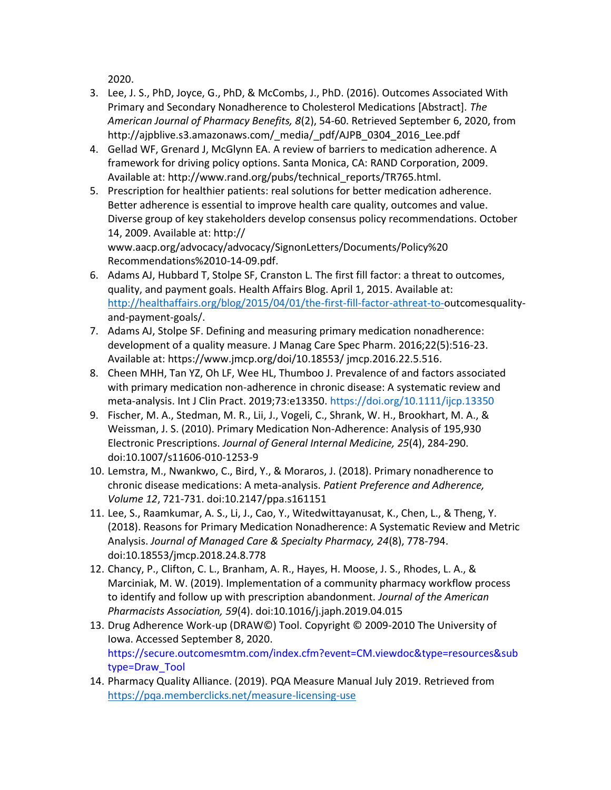2020.

- 3. Lee, J. S., PhD, Joyce, G., PhD, & McCombs, J., PhD. (2016). Outcomes Associated With Primary and Secondary Nonadherence to Cholesterol Medications [Abstract]. *The American Journal of Pharmacy Benefits, 8*(2), 54-60. Retrieved September 6, 2020, from http://ajpblive.s3.amazonaws.com/ media/ pdf/AJPB\_0304\_2016\_Lee.pdf
- 4. Gellad WF, Grenard J, McGlynn EA. A review of barriers to medication adherence. A framework for driving policy options. Santa Monica, CA: RAND Corporation, 2009. Available at: http://www.rand.org/pubs/technical\_reports/TR765.html.
- 5. Prescription for healthier patients: real solutions for better medication adherence. Better adherence is essential to improve health care quality, outcomes and value. Diverse group of key stakeholders develop consensus policy recommendations. October 14, 2009. Available at: http:// www.aacp.org/advocacy/advocacy/SignonLetters/Documents/Policy%20 Recommendations%2010-14-09.pdf.
- 6. Adams AJ, Hubbard T, Stolpe SF, Cranston L. The first fill factor: a threat to outcomes, quality, and payment goals. Health Affairs Blog. April 1, 2015. Available at: [http://healthaffairs.org/blog/2015/04/01/the-first-fill-factor-athreat-to-o](http://healthaffairs.org/blog/2015/04/01/the-first-fill-factor-athreat-to-)utcomesqualityand-payment-goals/.
- 7. Adams AJ, Stolpe SF. Defining and measuring primary medication nonadherence: development of a quality measure. J Manag Care Spec Pharm. 2016;22(5):516-23. Available at: https://www.jmcp.org/doi/10.18553/ jmcp.2016.22.5.516.
- 8. Cheen MHH, Tan YZ, Oh LF, Wee HL, Thumboo J. Prevalence of and factors associated with primary medication non-adherence in chronic disease: A systematic review and meta-analysis. Int J Clin Pract. 2019;73:e13350. https://doi.org/10.1111/ijcp.13350
- 9. Fischer, M. A., Stedman, M. R., Lii, J., Vogeli, C., Shrank, W. H., Brookhart, M. A., & Weissman, J. S. (2010). Primary Medication Non-Adherence: Analysis of 195,930 Electronic Prescriptions. *Journal of General Internal Medicine, 25*(4), 284-290. doi:10.1007/s11606-010-1253-9
- 10. Lemstra, M., Nwankwo, C., Bird, Y., & Moraros, J. (2018). Primary nonadherence to chronic disease medications: A meta-analysis. *Patient Preference and Adherence, Volume 12*, 721-731. doi:10.2147/ppa.s161151
- 11. Lee, S., Raamkumar, A. S., Li, J., Cao, Y., Witedwittayanusat, K., Chen, L., & Theng, Y. (2018). Reasons for Primary Medication Nonadherence: A Systematic Review and Metric Analysis. *Journal of Managed Care & Specialty Pharmacy, 24*(8), 778-794. doi:10.18553/jmcp.2018.24.8.778
- 12. Chancy, P., Clifton, C. L., Branham, A. R., Hayes, H. Moose, J. S., Rhodes, L. A., & Marciniak, M. W. (2019). Implementation of a community pharmacy workflow process to identify and follow up with prescription abandonment. *Journal of the American Pharmacists Association, 59*(4). doi:10.1016/j.japh.2019.04.015
- 13. Drug Adherence Work-up (DRAW©) Tool. Copyright © 2009-2010 The University of Iowa. Accessed September 8, 2020. https://secure.outcomesmtm.com/index.cfm?event=CM.viewdoc&type=resources&sub type=Draw\_Tool
- 14. Pharmacy Quality Alliance. (2019). PQA Measure Manual July 2019. Retrieved from <https://pqa.memberclicks.net/measure-licensing-use>